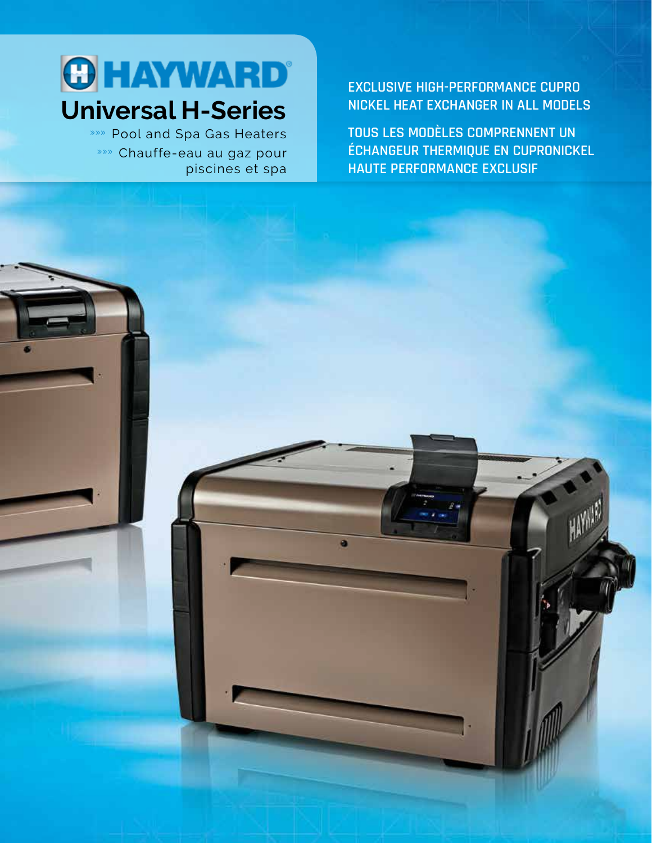

»»» Pool and Spa Gas Heaters »»» Chauffe-eau au gaz pour piscines et spa

**EXCLUSIVE HIGH-PERFORMANCE CUPRO NICKEL HEAT EXCHANGER IN ALL MODELS**

**TOUS LES MODÈLES COMPRENNENT UN ÉCHANGEUR THERMIQUE EN CUPRONICKEL HAUTE PERFORMANCE EXCLUSIF**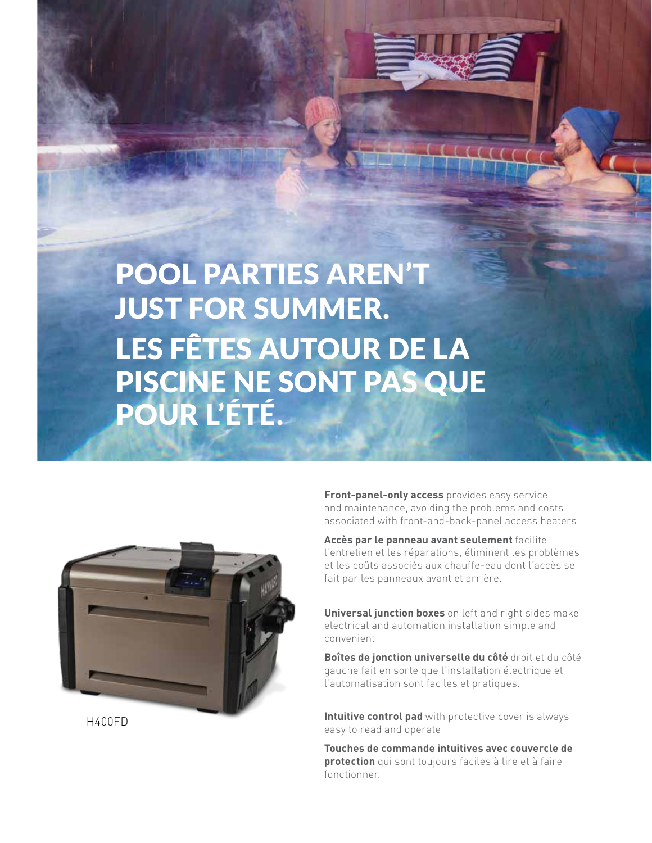



**Front-panel-only access** provides easy service and maintenance, avoiding the problems and costs associated with front-and-back-panel access heaters

**Accès par le panneau avant seulement** facilite l'entretien et les réparations, éliminent les problèmes et les coûts associés aux chauffe-eau dont l'accès se fait par les panneaux avant et arrière.

**Universal junction boxes** on left and right sides make electrical and automation installation simple and convenient

**Boîtes de jonction universelle du côté** droit et du côté gauche fait en sorte que l'installation électrique et l'automatisation sont faciles et pratiques.

**Intuitive control pad** with protective cover is always easy to read and operate

> **Touches de commande intuitives avec couvercle de protection** qui sont toujours faciles à lire et à faire fonctionner.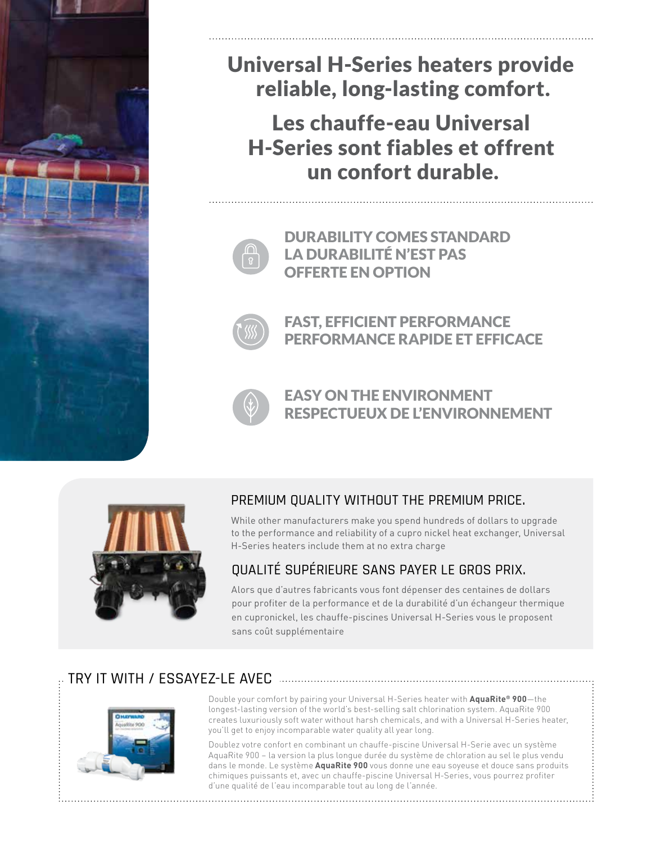

# Universal H-Series heaters provide reliable, long-lasting comfort.

Les chauffe-eau Universal H-Series sont fiables et offrent un confort durable.



DURABILITY COMES STANDARD LA DURABILITÉ N'EST PAS OFFERTE EN OPTION



FAST, EFFICIENT PERFORMANCE PERFORMANCE RAPIDE ET EFFICACE



EASY ON THE ENVIRONMENT RESPECTUEUX DE L'ENVIRONNEMENT



### PREMIUM QUALITY WITHOUT THE PREMIUM PRICE.

While other manufacturers make you spend hundreds of dollars to upgrade to the performance and reliability of a cupro nickel heat exchanger, Universal H-Series heaters include them at no extra charge

### QUALITÉ SUPÉRIEURE SANS PAYER LE GROS PRIX.

Alors que d'autres fabricants vous font dépenser des centaines de dollars pour profiter de la performance et de la durabilité d'un échangeur thermique en cupronickel, les chauffe-piscines Universal H-Series vous le proposent sans coût supplémentaire

## TRY IT WITH / ESSAYEZ-LE AVEC



Double your comfort by pairing your Universal H-Series heater with **AquaRite® 900**—the longest-lasting version of the world's best-selling salt chlorination system. AquaRite 900 creates luxuriously soft water without harsh chemicals, and with a Universal H-Series heater, you'll get to enjoy incomparable water quality all year long.

Doublez votre confort en combinant un chauffe-piscine Universal H-Serie avec un système AquaRite 900 – la version la plus longue durée du système de chloration au sel le plus vendu dans le monde. Le système **AquaRite 900** vous donne une eau soyeuse et douce sans produits chimiques puissants et, avec un chauffe-piscine Universal H-Series, vous pourrez profiter d'une qualité de l'eau incomparable tout au long de l'année.